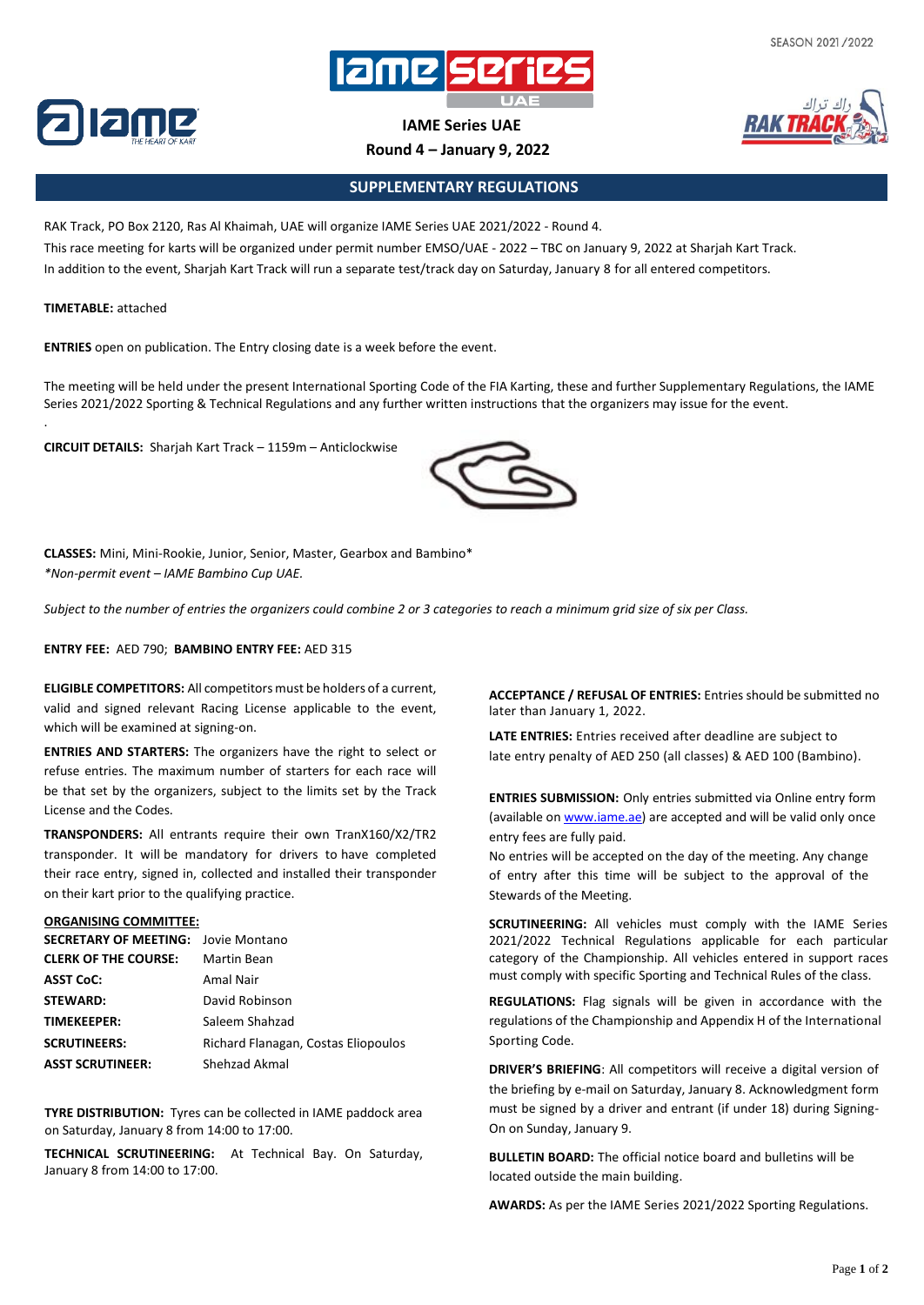

**IAME Series UAE**

**Round 4 – January 9, 2022**



## **SUPPLEMENTARY REGULATIONS**

RAK Track, PO Box 2120, Ras Al Khaimah, UAE will organize IAME Series UAE 2021/2022 - Round 4. This race meeting for karts will be organized under permit number EMSO/UAE - 2022 – TBC on January 9, 2022 at Sharjah Kart Track. In addition to the event, Sharjah Kart Track will run a separate test/track day on Saturday, January 8 for all entered competitors.

## **TIMETABLE:** attached

.

**ENTRIES** open on publication. The Entry closing date is a week before the event.

The meeting will be held under the present International Sporting Code of the FIA Karting, these and further Supplementary Regulations, the IAME Series 2021/2022 Sporting & Technical Regulations and any further written instructions that the organizers may issue for the event.

**CIRCUIT DETAILS:** Sharjah Kart Track – 1159m – Anticlockwise



**CLASSES:** Mini, Mini-Rookie, Junior, Senior, Master, Gearbox and Bambino\* *\*Non-permit event – IAME Bambino Cup UAE.*

Subject to the number of entries the organizers could combine 2 or 3 categories to reach a minimum grid size of six per Class.

**ENTRY FEE:** AED 790; **BAMBINO ENTRY FEE:** AED 315

**ELIGIBLE COMPETITORS:** All competitors must be holders of a current, valid and signed relevant Racing License applicable to the event, which will be examined at signing-on.

**ENTRIES AND STARTERS:** The organizers have the right to select or refuse entries. The maximum number of starters for each race will be that set by the organizers, subject to the limits set by the Track License and the Codes.

**TRANSPONDERS:** All entrants require their own TranX160/X2/TR2 transponder. It will be mandatory for drivers to have completed their race entry, signed in, collected and installed their transponder on their kart prior to the qualifying practice.

## **ORGANISING COMMITTEE:**

| <b>SECRETARY OF MEETING:</b> Jovie Montano |                                     |
|--------------------------------------------|-------------------------------------|
| <b>CLERK OF THE COURSE:</b>                | Martin Bean                         |
| <b>ASST CoC:</b>                           | Amal Nair                           |
| <b>STEWARD:</b>                            | David Robinson                      |
| TIMEKEEPER:                                | Saleem Shahzad                      |
| <b>SCRUTINEERS:</b>                        | Richard Flanagan, Costas Eliopoulos |
| <b>ASST SCRUTINEER:</b>                    | Shehzad Akmal                       |

**TYRE DISTRIBUTION:** Tyres can be collected in IAME paddock area on Saturday, January 8 from 14:00 to 17:00.

**TECHNICAL SCRUTINEERING:** At Technical Bay. On Saturday, January 8 from 14:00 to 17:00.

**ACCEPTANCE / REFUSAL OF ENTRIES:** Entries should be submitted no later than January 1, 2022.

**LATE ENTRIES:** Entries received after deadline are subject to late entry penalty of AED 250 (all classes) & AED 100 (Bambino).

**ENTRIES SUBMISSION:** Only entries submitted via Online entry form (available on [www.iame.ae\)](http://www.iame.ae/) are accepted and will be valid only once entry fees are fully paid.

No entries will be accepted on the day of the meeting. Any change of entry after this time will be subject to the approval of the Stewards of the Meeting.

**SCRUTINEERING:** All vehicles must comply with the IAME Series 2021/2022 Technical Regulations applicable for each particular category of the Championship. All vehicles entered in support races must comply with specific Sporting and Technical Rules of the class.

**REGULATIONS:** Flag signals will be given in accordance with the regulations of the Championship and Appendix H of the International Sporting Code.

**DRIVER'S BRIEFING**: All competitors will receive a digital version of the briefing by e-mail on Saturday, January 8. Acknowledgment form must be signed by a driver and entrant (if under 18) during Signing-On on Sunday, January 9.

**BULLETIN BOARD:** The official notice board and bulletins will be located outside the main building.

**AWARDS:** As per the IAME Series 2021/2022 Sporting Regulations.